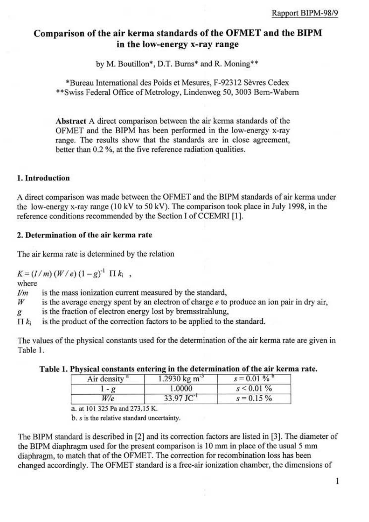# Comparison of the air kerma standards of the OFMET and the BIPM in the low-energy x-ray range

by M. Boutillon\*, D.T. Burns\* and R. Moning\*\*

\*Bureau International des Poids et Mesures, F-92312 Sèvres Cedex \*\* Swiss Federal Office of Metrology, Lindenweg 50, 3003 Bern-Wabern

Abstract A direct comparison between the air kerma standards of the OFMET and the BIPM has been performed in the low-energy x-ray range. The results show that the standards are in close agreement, better than 0.2 %, at the five reference radiation qualities.

## 1. Introduction

A direct comparison was made between the OFMET and the BIPM standards of air kerma under the low-energy x-ray range (10 kV to 50 kV). The comparison took place in July 1998, in the reference conditions recommended by the Section I of CCEMRI [1].

# 2. Determination of the air kerma rate

The air kerma rate is determined by the relation

 $K = (I/m) (W/e) (1-g)^{-1} \Pi k_i$ ,

where

is the mass ionization current measured by the standard,  $I/m$ 

is the average energy spent by an electron of charge e to produce an ion pair in dry air, W

is the fraction of electron energy lost by bremsstrahlung, g

is the product of the correction factors to be applied to the standard.  $\Pi k_i$ 

The values of the physical constants used for the determination of the air kerma rate are given in Table 1.

| Air density <sup>a</sup> | $1.2930 \text{ kg m}^{-3}$ | $s = 0.01 \%$ |
|--------------------------|----------------------------|---------------|
| $-q$                     | 1.0000                     | $s < 0.01\%$  |
| W/e                      | $33.97$ JC <sup>-1</sup>   | $s = 0.15\%$  |

| Table 1. Physical constants entering in the determination of the air kerma rate. |  |  |  |  |  |  |  |  |
|----------------------------------------------------------------------------------|--|--|--|--|--|--|--|--|
|----------------------------------------------------------------------------------|--|--|--|--|--|--|--|--|

a. at 101 325 Pa and 273.15 K.

b. s is the relative standard uncertainty.

The BIPM standard is described in [2] and its correction factors are listed in [3]. The diameter of the BIPM diaphragm used for the present comparison is 10 mm in place of the usual 5 mm diaphragm, to match that of the OFMET. The correction for recombination loss has been changed accordingly. The OFMET standard is a free-air ionization chamber, the dimensions of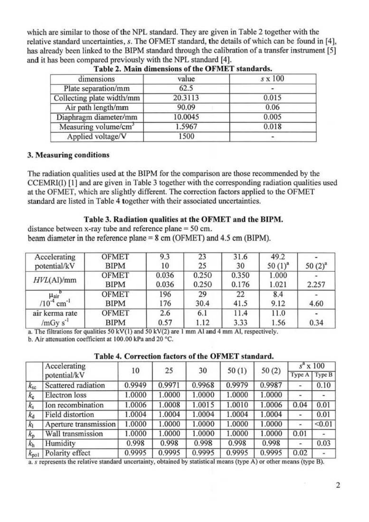which are similar to those of the NPL standard. They are given in Table 2 together with the relative standard uncertainties. s. The OFMET standard, the dctails of which can be found in [4], has already been linked to the BIPM standard through the calibration of a transfer instrument [5] and it has been compared previously with the NPL standard [4].

| dimensions                       | value   | $s \times 100$ |
|----------------------------------|---------|----------------|
| Plate separation/mm              | 62.5    |                |
| Collecting plate width/mm        | 20.3113 | 0.015          |
| Air path length/mm               | 90.09   | 0.06           |
| Diaphragm diameter/mm            | 10.0045 | 0.005          |
| Measuring volume/cm <sup>3</sup> | 1.5967  | 0.018          |
| Applied voltage/V                | 1500    |                |

Table 2. Main dimensions of the OFMET standards.

## 3. Measuring conditions

The radiation qualities used at the BlPM for the comparison arc those recommended by the CCEMRI(I) [1] and are given in Table 3 together with the corresponding radiation qualities used at the OFMET, which are slightly different. The correction factors applied to the OFMET standard are listed in Table 4 together with their associated uncertainties.

# Table 3. Radiation qualities at the OFMET and the BIPM.

distance between x-ray tube and reference plane = 50 cm. beam diameter in the reference plane  $= 8$  cm (OFMET) and 4.5 cm (BIPM).

| Accelerating                    | <b>OFMET</b>                | 9.3            | 23             | 31.6           | 49.2           | $50(2)^{a}$ |
|---------------------------------|-----------------------------|----------------|----------------|----------------|----------------|-------------|
| potential/kV                    | <b>BIPM</b>                 | 10             | 25             | 30             | $50(1)^{a}$    |             |
| HVL(Al)/mm                      | <b>OFMET</b><br><b>BIPM</b> | 0.036<br>0.036 | 0.250<br>0.250 | 0.350<br>0.176 | 1.000<br>1.021 | 2.257       |
| Hair<br>$cm^{-1}$<br>$/10^{-4}$ | <b>OFMET</b><br><b>BIPM</b> | 196<br>176     | 29<br>30.4     | 22<br>41.5     | 8.4<br>9.12    | 4.60        |
| air kerma rate                  | <b>OFMET</b>                | 2.6            | 6.1            | 11.4           | 11.0           | 0.34        |
| $/mGy s-1$                      | <b>BIPM</b>                 | 0.57           | 1.12           | 3.33           | 1.56           |             |

a. The filtrations for qualities 50 kV(1) and 50 kV(2) are 1 mm Al and 4 mm Al, respectively.<br>b. Air attenuation coefficient at 100.00 kPa and 20 °C.

|  | Table 4. Correction factors of the OFMET standard. |  |
|--|----------------------------------------------------|--|
|  |                                                    |  |

|                | Accelerating          | 10     | 25     | 30     |        |        |               | $s^a$ x 100 |
|----------------|-----------------------|--------|--------|--------|--------|--------|---------------|-------------|
|                | potential/kV          |        |        |        | 50(1)  | 50(2)  | Type A        | Type B      |
| $k_{\rm sc}$   | Scattered radiation   | 0.9949 | 0.9971 | 0.9968 | 0.9979 | 0.9987 | $\frac{1}{2}$ | 0.10        |
| $k_{\rm c}$    | Electron loss         | 1.0000 | 1.0000 | 1.0000 | 1.0000 | 1.0000 |               |             |
| $k_{s}$        | Ion recombination     | 1.0006 | 1.0008 | 1.0015 | 1.0010 | 1.0006 | 0.04          | 0.01        |
| $k_d$          | Field distortion      | 1.0004 | 1.0004 | 1.0004 | 1.0004 | 1.0004 |               | 0.01        |
| k <sub>1</sub> | Aperture transmission | 1.0000 | 1.0000 | 1.0000 | 1.0000 | 1.0000 | Ξ             | < 0.01      |
| $k_{p}$        | Wall transmission     | 1.0000 | 1.0000 | 1.0000 | 1.0000 | 1.0000 | 0.01          |             |
| $k_{\rm h}$    | Humidity              | 0.998  | 0.998  | 0.998  | 0.998  | 0.998  |               | 0.03        |
| $k_{pol}$      | Polarity effect       | 0.9995 | 0.9995 | 0.9995 | 0.9995 | 0.9995 | 0.02          |             |

a. s represents the relative standard uncertainty, obtained by statistical means (type A) or other means (type B).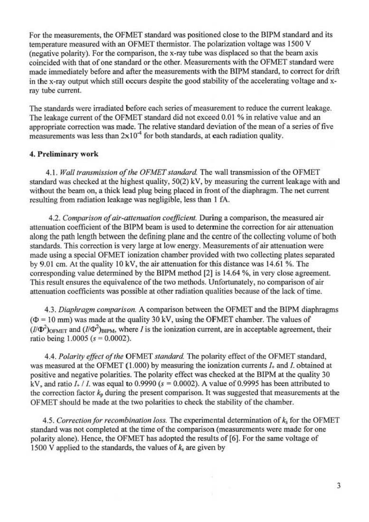For the measurements, the OFMET standard was positioned close to the B1PM standard and *its*  temperature measured with an OFMET thermistor. The polarization voltage was 1500 V (negative polarity). For the comparison, the x-ray tube was displaced so that the beam axi5 coincided with that of one standard or the other. Measurements with the OFMET standard were made immediately before and after the measurements with the B1PM standard, to correct for drift in the x-ray output which still occurs despite the good stability of the accelerating voltage and xray tube current

The standards were irradiated before caeh series of measurement to reduce the current leakage. The leakage current of the OFMET standard did not exceed 0.01 % in relative value and an appropriate correction was made. The relative standard deviation of the mean of a series of five measurements was less than  $2\times10^{-4}$  for both standards, at each radiation quality.

### 4. Preliminary work

4.1. Wall transmission of the OFMET standard. The wall transmission of the OFMET standard was checked at the highest quality,  $50(2)$  kV, by measuring the current leakage with and without the beam on, a thick lead plug being placed in front of the diaphragm. The net current resulting from radiation leakage was negligible, less than I fA.

4.2. Comparison of air-attenuation coefficient. During a comparison, the measured air attenuation coefficient of the BIPM beam is used to determine the correction for air attenuation along the path length between the defining plane and the centre of the colleeting volume of both standards. This correction is very large at low energy. Measurements of air attenuation were made using a special OFMET ionization chamber provided with two collecting plates separated by 9.01 cm. At the quality  $10 \text{ kV}$ , the air attenuation for this distance was 14.61 %. The corresponding value determined by the BIPM method  $[2]$  is 14.64 %, in very close agreement. This result ensures the equivalence of the two methods. Unfortunately, no comparison of air attenuation coefficients was possible at other radiation qualities because of the lack of time.

4.3. Diaphragm comparison. A comparison between the OFMET and the BIPM diaphragms  $(\Phi = 10 \text{ mm})$  was made at the quality 30 kV, using the OFMET chamber. The values of  $(I/\Phi^2)_{\text{OFMET}}$  and  $(I/\Phi^2)_{\text{BIPM}}$ , where *I* is the ionization current, are in acceptable agreement, their ratio being  $1.0005$  ( $s = 0.0002$ ).

4.4. Polarity effect of the OFMET *standard*. The polarity effect of the OFMET standard, was measured at the OFMET (1.000) by measuring the ionization currents  $I_+$  and  $I$ . obtained at positive and negative polarities. The polarity effect was checked at the BIPM at the quality 30 kV, and ratio  $I_+$  / I. was equal to 0.9990 ( $s = 0.0002$ ). A value of 0.9995 has been attributed to the correction factor  $k_p$  during the present comparison. It was suggested that measurements at the OFMET should be made at the two polarities to check the stability of the chamber.

4.5. Correction for recombination loss. The experimental determination of  $k<sub>s</sub>$  for the OFMET standard was not completed at the time of the comparison (measurements were made for one polarity alone). Hence, the OFMET has adopted the results of [6]. For the same voltage of 1500 V applied to the standards, the values of  $k_s$  are given by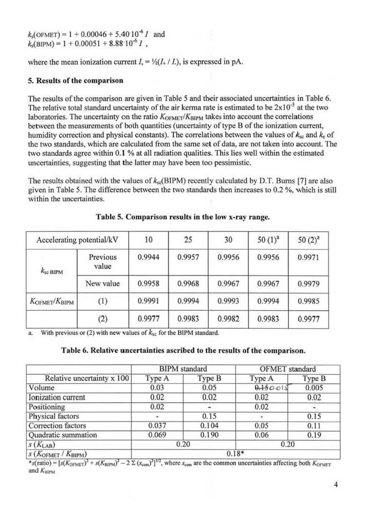$k_s$ (OFMET) = 1 + 0.00046 + 5.40 $10^{-6}$  I and<br> $k_s$ (BIPM) = 1 + 0.00051 + 8.88 $10^{-6}$  I,

where the mean ionization current  $I = \frac{1}{2}(I + I)$ , is expressed in pA.

### 5. Results of the comparison

The results of the comparison are given in Table 5 and their associated uncertainties in Table 6. The relative total standard uncertainty of the air kerma rate is estimated to be  $2x10^{-3}$  at the two laboratories. The uncertainty on the ratio  $K_{\text{OFMET}}/K_{\text{BIPM}}$  takes into account the correlations between the measurements of both quantities (uncertainty of type B of the ionization current, humidity correction and physical constants). The correlations between the values of  $k_{sc}$  and  $k_{c}$  of the two standards, which are calculated from the same set of data, are not taken into account. The two standards agree within 0.1 % at all radiation qualities. This lies well within the estimated uncertainties, suggesting that the latter may have been too pessimistic.

The results obtained with the values of  $k_{sc}$ (BIPM) recently calculated by D.T. Burns [7] are also given in Table 5. The difference between the two standards then increases to 0.2 %, which is still within the uncertainties.

| Accelerating potential/kV          |                   | 10     | 25     | 30     | $50(1)^{a}$ | $50(2)^{3}$ |
|------------------------------------|-------------------|--------|--------|--------|-------------|-------------|
| $k_{\rm sc\ BIPM}$                 | Previous<br>value | 0.9944 | 0.9957 | 0.9956 | 0.9956      | 0.9971      |
|                                    | New value         | 0.9958 | 0.9968 | 0.9967 | 0.9967      | 0.9979      |
| $K_{\text{OFMET}}/K_{\text{BIPM}}$ | (1)               | 0.9991 | 0.9994 | 0.9993 | 0.9994      | 0.9985      |
|                                    | (2)               | 0.9977 | 0.9983 | 0.9982 | 0.9983      | 0.9977      |

| Table 5. Comparison results in the low x-ray range. |  |  |  |  |  |  |
|-----------------------------------------------------|--|--|--|--|--|--|
|-----------------------------------------------------|--|--|--|--|--|--|

With previous or (2) with new values of  $k_{\rm sc}$  for the BIPM standard. a.

#### Table 6. Relative uncertainties ascribed to the results of the comparison.

|                                       |                        | <b>BIPM</b> standard | OFMET standard |        |  |
|---------------------------------------|------------------------|----------------------|----------------|--------|--|
| Relative uncertainty x 100            | Type A                 | Type B               | Type A         | Type B |  |
| Volume                                | 0.03                   | 0.05                 | 0.150011       | 0.005  |  |
| Ionization current                    | 0.02                   | 0.02                 | 0.02           | 0.02   |  |
| Positioning                           | 0.02<br>۰.             |                      | 0.02           |        |  |
| Physical factors                      | 0.15<br>۰              |                      | 0.15           |        |  |
| Correction factors                    | 0.037                  | 0.104                | 0.05           | 0.11   |  |
| Quadratic summation                   | 0.069<br>0.190<br>0.06 |                      |                | 0.19   |  |
| $S(K_{LAB})$                          | 0.20                   |                      | 0.20           |        |  |
| $s(K_{\text{OFMET}}/K_{\text{BIPM}})$ | $0.18*$                |                      |                |        |  |

\*s(ratio) =  $[s(K_{\text{OFMET}})^2 + s(K_{\text{BIPM}})^2 - 2 \Sigma (s_{\text{com}})^2]^{1/2}$ , where  $s_{\text{com}}$  are the common uncertainties affecting both  $K_{\text{OFMET}}$ and  $K_{\text{BIPM}}$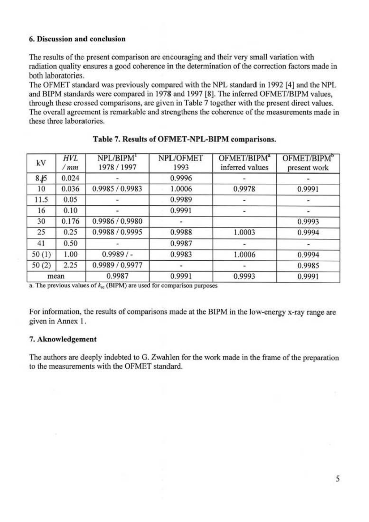## 6. Discussion and conclusion

The results of the present comparison are encouraging and their very small variation with radiation quality ensures a good coherence in the detennination of the correction factors made in both laboratories.

The OFMET standard was previously compared with the NPL standard in 1992 [4] and the NPL and BIPM standards were compared in 1978 and 1997 [8]. The inferred OFMET/BIPM values, through these crossed comparisons, are given in Table 7 together with the present direct values. The overall agreement is remarkable and strengthens the coherence of the measurements made in these three laboratories.

| kV    | HVL<br>/mm | NPL/BIPM <sup>1</sup><br>1978 / 1997 | NPL/OFMET<br>1993 | OFMET/BIPM <sup>a</sup><br>inferred values | OFMET/BIPM <sup>b</sup><br>present work |
|-------|------------|--------------------------------------|-------------------|--------------------------------------------|-----------------------------------------|
| 8.15  | 0.024      |                                      | 0.9996            |                                            |                                         |
| 10    | 0.036      | 0.9985 / 0.9983                      | 1.0006            | 0.9978                                     | 0.9991                                  |
| 11.5  | 0.05       |                                      | 0.9989            |                                            |                                         |
| 16    | 0.10       |                                      | 0.9991            |                                            |                                         |
| 30    | 0.176      | 0.9986 / 0.9980                      |                   |                                            | 0.9993                                  |
| 25    | 0.25       | 0.9988 / 0.9995                      | 0.9988            | 1.0003                                     | 0.9994                                  |
| 41    | 0.50       |                                      | 0.9987            |                                            |                                         |
| 50(1) | 1.00       | $0.9989/$ -                          | 0.9983            | 1.0006                                     | 0.9994                                  |
| 50(2) | 2.25       | 0.9989 / 0.9977                      |                   |                                            | 0.9985                                  |
|       | mean       | 0.9987                               | 0.9991            | 0.9993                                     | 0.9991                                  |

### Table 7. Results of OFMET-NPL-BIPM comparisons.

a. The previous values of  $k_{\rm sc}$  (BIPM) are used for comparison purposes

For information, the results of comparisons made at the BIPM in the low-energy x-ray range are given in Annex I .

## 7. Aknowledgement

The authors are deeply indebted to G. Zwahlen for the work made in the frame of the preparation to the measurements with the OFMET standard.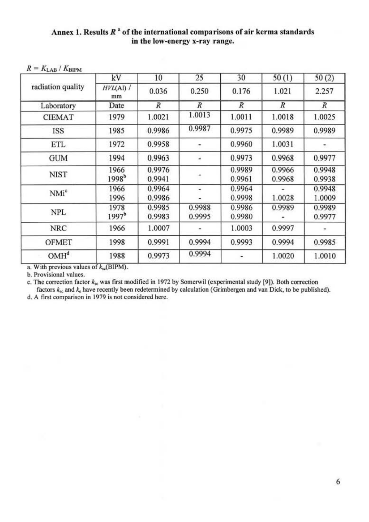# Annex 1. Results  $R^a$  of the international comparisons of air kerma standards in the low-energy x-ray range.

|  | $R = K_{\rm LAB} / K_{\rm BIPM}$ |
|--|----------------------------------|
|  |                                  |

|                   | kV                        | 10               | 25               | 30               | 50(1)            | 50(2)            |
|-------------------|---------------------------|------------------|------------------|------------------|------------------|------------------|
| radiation quality | $HVL(Al)$ /<br>mm         | 0.036            | 0.250            | 0.176            | 1.021            | 2.257            |
| Laboratory        | Date                      | R                | R                | $\boldsymbol{R}$ | $\boldsymbol{R}$ | R                |
| <b>CIEMAT</b>     | 1979                      | 1.0021           | 1.0013           | 1.0011           | 1.0018           | 1.0025           |
| <b>ISS</b>        | 1985                      | 0.9986           | 0.9987           | 0.9975           | 0.9989           | 0.9989           |
| ETL               | 1972                      | 0.9958           |                  | 0.9960           | 1.0031           | ÷                |
| <b>GUM</b>        | 1994                      | 0.9963           | ٠                | 0.9973           | 0.9968           | 0.9977           |
| <b>NIST</b>       | 1966<br>1998 <sup>b</sup> | 0.9976<br>0.9941 |                  | 0.9989<br>0.9961 | 0.9966<br>0.9968 | 0.9948<br>0.9938 |
| NMi <sup>c</sup>  | 1966<br>1996              | 0.9964<br>0.9986 | ٠                | 0.9964<br>0.9998 | 1.0028           | 0.9948<br>1.0009 |
| <b>NPL</b>        | 1978<br>1997 <sup>b</sup> | 0.9985<br>0.9983 | 0.9988<br>0.9995 | 0.9986<br>0.9980 | 0.9989           | 0.9989<br>0.9977 |
| <b>NRC</b>        | 1966                      | 1.0007           |                  | 1.0003           | 0.9997           |                  |
| <b>OFMET</b>      | 1998                      | 0.9991           | 0.9994           | 0.9993           | 0.9994           | 0.9985           |
| OMH <sup>d</sup>  | 1988                      | 0.9973           | 0.9994           |                  | 1.0020           | 1.0010           |

a. With previous values of  $k_{\rm sc}$ (BIPM).

b. Provisional values.

c. The correction factor  $k_{sc}$  was first modified in 1972 by Somerwil (experimental study [9]). Both correction factors  $k_{sc}$  and  $k_e$  have recently been redetermined by calculation (Grimbergen and van Dick, to be publi

d. A first comparison in 1979 is not considered here.